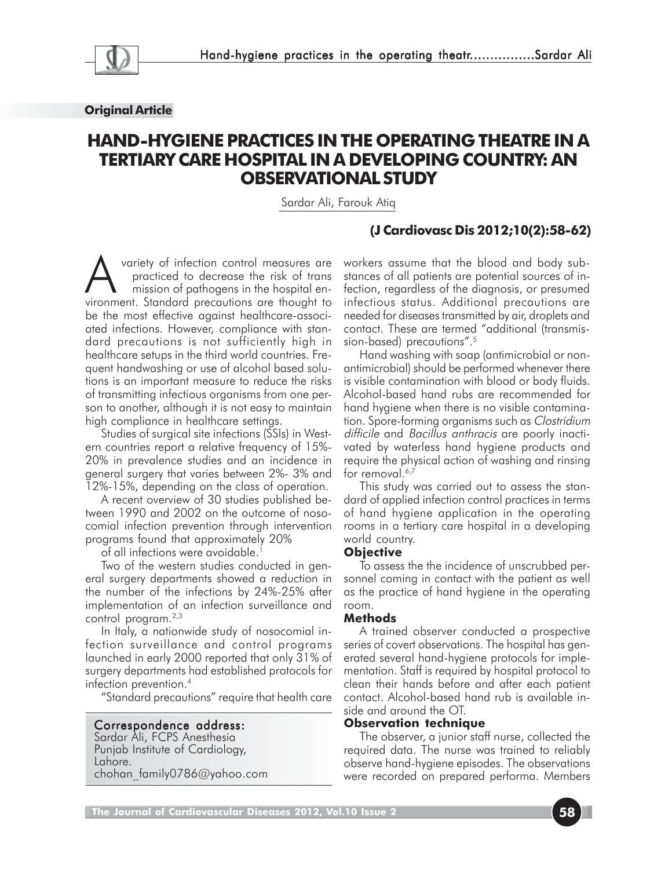

#### **Original Article**

# **HAND-HYGIENE PRACTICES IN THE OPERATING THEATRE IN A TERTIARY CARE HOSPITAL IN A DEVELOPING COUNTRY: AN OBSERVATIONAL STUDY**

Sardar Ali, Farouk Atiq

## **(J Cardiovasc Dis 2012;10(2):58-62)**

A variety of infection control measures are<br>
practiced to decrease the risk of trans<br>
mission of pathogens in the hospital en-<br>
vironment, Standard precautions are thought to practiced to decrease the risk of trans vironment. Standard precautions are thought to be the most effective against healthcare-associated infections. However, compliance with standard precautions is not sufficiently high in healthcare setups in the third world countries. Frequent handwashing or use of alcohol based solutions is an important measure to reduce the risks of transmitting infectious organisms from one person to another, although it is not easy to maintain high compliance in healthcare settings.

Studies of surgical site infections (SSIs) in Western countries report a relative frequency of 15%- 20% in prevalence studies and an incidence in general surgery that varies between 2%- 3% and 12%-15%, depending on the class of operation.

A recent overview of 30 studies published between 1990 and 2002 on the outcome of nosocomial infection prevention through intervention programs found that approximately 20%

of all infections were avoidable.1

Two of the western studies conducted in general surgery departments showed a reduction in the number of the infections by 24%-25% after implementation of an infection surveillance and control program.2,3

In Italy, a nationwide study of nosocomial infection surveillance and control programs launched in early 2000 reported that only 31% of surgery departments had established protocols for infection prevention.4

"Standard precautions" require that health care

## Correspondence address:

Sardar Ali, FCPS Anesthesia Punjab Institute of Cardiology, Lahore. chohan\_family0786@yahoo.com workers assume that the blood and body substances of all patients are potential sources of infection, regardless of the diagnosis, or presumed infectious status. Additional precautions are needed for diseases transmitted by air, droplets and contact. These are termed "additional (transmission-based) precautions".5

Hand washing with soap (antimicrobial or nonantimicrobial) should be performed whenever there is visible contamination with blood or body fluids. Alcohol-based hand rubs are recommended for hand hygiene when there is no visible contamination. Spore-forming organisms such as Clostridium difficile and Bacillus anthracis are poorly inactivated by waterless hand hygiene products and require the physical action of washing and rinsing for removal. $6,7$ 

This study was carried out to assess the standard of applied infection control practices in terms of hand hygiene application in the operating rooms in a tertiary care hospital in a developing world country.

#### **Objective**

To assess the the incidence of unscrubbed personnel coming in contact with the patient as well as the practice of hand hygiene in the operating room.

#### **Methods**

A trained observer conducted a prospective series of covert observations. The hospital has generated several hand-hygiene protocols for implementation. Staff is required by hospital protocol to clean their hands before and after each patient contact. Alcohol-based hand rub is available inside and around the OT.

#### **Observation technique**

The observer, a junior staff nurse, collected the required data. The nurse was trained to reliably observe hand-hygiene episodes. The observations were recorded on prepared performa. Members

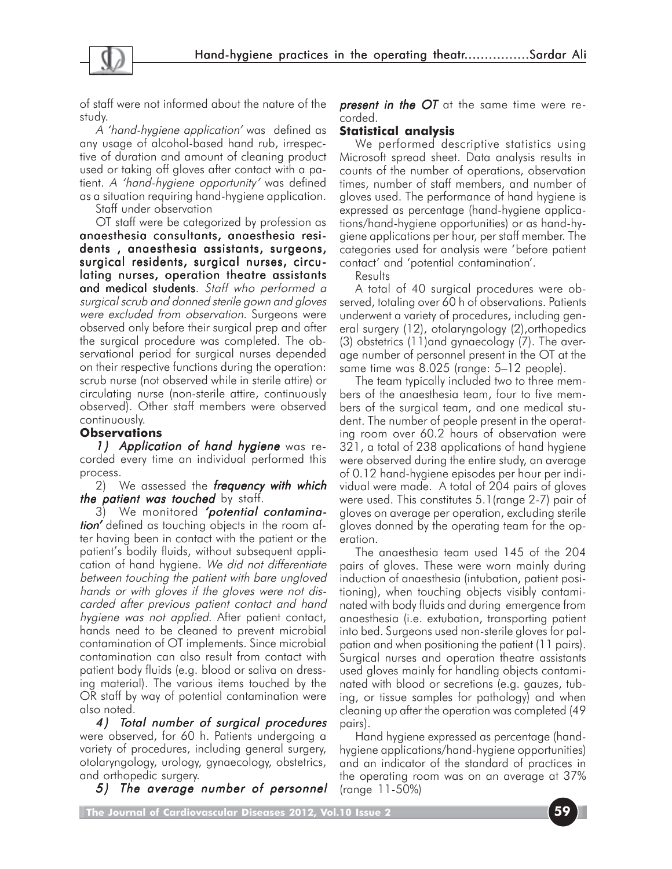

of staff were not informed about the nature of the study.

A 'hand-hygiene application' was defined as any usage of alcohol-based hand rub, irrespective of duration and amount of cleaning product used or taking off gloves after contact with a patient. A 'hand-hygiene opportunity' was defined as a situation requiring hand-hygiene application.

Staff under observation

OT staff were be categorized by profession as anaesthesia consultants, anaesthesia residents, anaesthesia assistants, surgeons, surgical residents, surgical nurses, circulating nurses, operation theatre assistants and medical students. Staff who performed a surgical scrub and donned sterile gown and gloves were excluded from observation. Surgeons were observed only before their surgical prep and after the surgical procedure was completed. The observational period for surgical nurses depended on their respective functions during the operation: scrub nurse (not observed while in sterile attire) or circulating nurse (non-sterile attire, continuously observed). Other staff members were observed continuously.

## **Observations**

1) Application of hand hygiene was recorded every time an individual performed this process.

2) We assessed the **frequency with which** the patient was touched by staff.

3) We monitored **'potential contamina***tion'* defined as touching objects in the room after having been in contact with the patient or the patient's bodily fluids, without subsequent application of hand hygiene. We did not differentiate between touching the patient with bare ungloved hands or with gloves if the gloves were not discarded after previous patient contact and hand hygiene was not applied. After patient contact, hands need to be cleaned to prevent microbial contamination of OT implements. Since microbial contamination can also result from contact with patient body fluids (e.g. blood or saliva on dressing material). The various items touched by the OR staff by way of potential contamination were also noted.

4 ) Total number of surgical procedures were observed, for 60 h. Patients undergoing a variety of procedures, including general surgery, otolaryngology, urology, gynaecology, obstetrics, and orthopedic surgery.

5) The average number of personnel

**present in the OT** at the same time were recorded.

## **Statistical analysis**

We performed descriptive statistics using Microsoft spread sheet. Data analysis results in counts of the number of operations, observation times, number of staff members, and number of gloves used. The performance of hand hygiene is expressed as percentage (hand-hygiene applications/hand-hygiene opportunities) or as hand-hygiene applications per hour, per staff member. The categories used for analysis were 'before patient contact' and 'potential contamination'.

**Results** 

A total of 40 surgical procedures were observed, totaling over 60 h of observations. Patients underwent a variety of procedures, including general surgery (12), otolaryngology (2),orthopedics (3) obstetrics (11)and gynaecology (7). The average number of personnel present in the OT at the same time was 8.025 (range: 5–12 people).

The team typically included two to three members of the anaesthesia team, four to five members of the surgical team, and one medical student. The number of people present in the operating room over 60.2 hours of observation were 321, a total of 238 applications of hand hygiene were observed during the entire study, an average of 0.12 hand-hygiene episodes per hour per individual were made. A total of 204 pairs of gloves were used. This constitutes 5.1(range 2-7) pair of gloves on average per operation, excluding sterile gloves donned by the operating team for the operation.

The anaesthesia team used 145 of the 204 pairs of gloves. These were worn mainly during induction of anaesthesia (intubation, patient positioning), when touching objects visibly contaminated with body fluids and during emergence from anaesthesia (i.e. extubation, transporting patient into bed. Surgeons used non-sterile gloves for palpation and when positioning the patient (11 pairs). Surgical nurses and operation theatre assistants used gloves mainly for handling objects contaminated with blood or secretions (e.g. gauzes, tubing, or tissue samples for pathology) and when cleaning up after the operation was completed (49 pairs).

Hand hygiene expressed as percentage (handhygiene applications/hand-hygiene opportunities) and an indicator of the standard of practices in the operating room was on an average at 37% (range 11-50%)

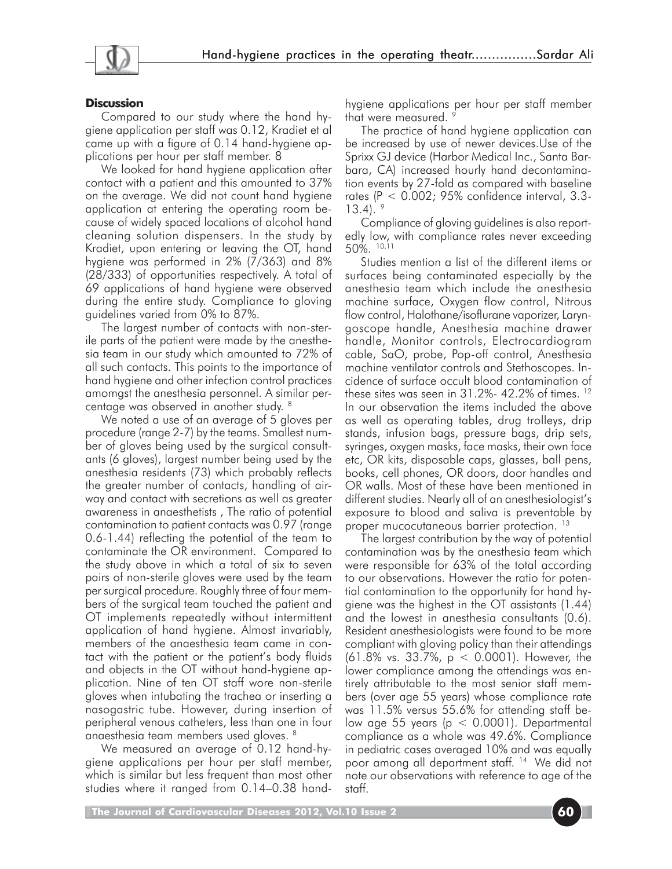

#### **Discussion**

Compared to our study where the hand hygiene application per staff was 0.12, Kradiet et al came up with a figure of 0.14 hand-hygiene applications per hour per staff member. 8

We looked for hand hygiene application after contact with a patient and this amounted to 37% on the average. We did not count hand hygiene application at entering the operating room because of widely spaced locations of alcohol hand cleaning solution dispensers. In the study by Kradiet, upon entering or leaving the OT, hand hygiene was performed in 2% (7/363) and 8% (28/333) of opportunities respectively. A total of 69 applications of hand hygiene were observed during the entire study. Compliance to gloving guidelines varied from 0% to 87%.

The largest number of contacts with non-sterile parts of the patient were made by the anesthesia team in our study which amounted to 72% of all such contacts. This points to the importance of hand hygiene and other infection control practices amomgst the anesthesia personnel. A similar percentage was observed in another study. 8

We noted a use of an average of 5 gloves per procedure (range 2-7) by the teams. Smallest number of gloves being used by the surgical consultants (6 gloves), largest number being used by the anesthesia residents (73) which probably reflects the greater number of contacts, handling of airway and contact with secretions as well as greater awareness in anaesthetists , The ratio of potential contamination to patient contacts was 0.97 (range 0.6-1.44) reflecting the potential of the team to contaminate the OR environment. Compared to the study above in which a total of six to seven pairs of non-sterile gloves were used by the team per surgical procedure. Roughly three of four members of the surgical team touched the patient and OT implements repeatedly without intermittent application of hand hygiene. Almost invariably, members of the anaesthesia team came in contact with the patient or the patient's body fluids and objects in the OT without hand-hygiene application. Nine of ten OT staff wore non-sterile gloves when intubating the trachea or inserting a nasogastric tube. However, during insertion of peripheral venous catheters, less than one in four anaesthesia team members used gloves. 8

We measured an average of 0.12 hand-hygiene applications per hour per staff member, which is similar but less frequent than most other studies where it ranged from 0.14–0.38 handhygiene applications per hour per staff member that were measured. <sup>9</sup>

The practice of hand hygiene application can be increased by use of newer devices.Use of the Sprixx GJ device (Harbor Medical Inc., Santa Barbara, CA) increased hourly hand decontamination events by 27-fold as compared with baseline rates (P < 0.002; 95% confidence interval, 3.3-  $13.4$ ).  $9$ 

Compliance of gloving guidelines is also reportedly low, with compliance rates never exceeding 50%. 10,11

Studies mention a list of the different items or surfaces being contaminated especially by the anesthesia team which include the anesthesia machine surface, Oxygen flow control, Nitrous flow control, Halothane/isoflurane vaporizer, Laryngoscope handle, Anesthesia machine drawer handle, Monitor controls, Electrocardiogram cable, SaO, probe, Pop-off control, Anesthesia machine ventilator controls and Stethoscopes. Incidence of surface occult blood contamination of these sites was seen in 31.2%- 42.2% of times. 12 In our observation the items included the above as well as operating tables, drug trolleys, drip stands, infusion bags, pressure bags, drip sets, syringes, oxygen masks, face masks, their own face etc, OR kits, disposable caps, glasses, ball pens, books, cell phones, OR doors, door handles and OR walls. Most of these have been mentioned in different studies. Nearly all of an anesthesiologist's exposure to blood and saliva is preventable by proper mucocutaneous barrier protection. <sup>13</sup>

The largest contribution by the way of potential contamination was by the anesthesia team which were responsible for 63% of the total according to our observations. However the ratio for potential contamination to the opportunity for hand hygiene was the highest in the OT assistants (1.44) and the lowest in anesthesia consultants (0.6). Resident anesthesiologists were found to be more compliant with gloving policy than their attendings (61.8% vs. 33.7%, p < 0.0001). However, the lower compliance among the attendings was entirely attributable to the most senior staff members (over age 55 years) whose compliance rate was 11.5% versus 55.6% for attending staff below age 55 years ( $p < 0.0001$ ). Departmental compliance as a whole was 49.6%. Compliance in pediatric cases averaged 10% and was equally poor among all department staff. 14 We did not note our observations with reference to age of the staff.

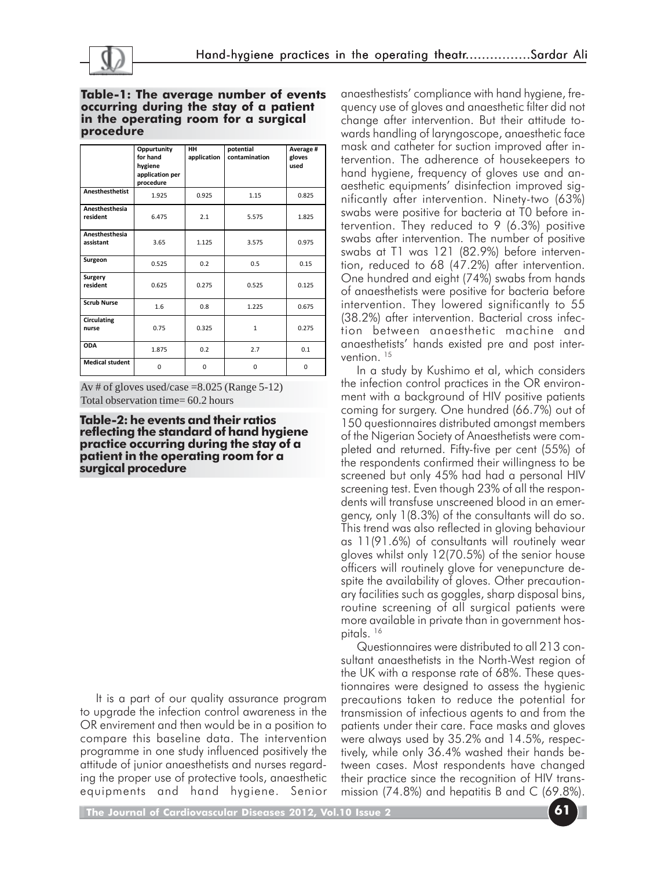

#### **Table-1: The average number of events occurring during the stay of a patient in the operating room for a surgical procedure**

|                             | Oppurtunity<br>for hand<br>hygiene<br>application per<br>procedure | HH<br>application | potential<br>contamination | Average #<br>gloves<br>used |
|-----------------------------|--------------------------------------------------------------------|-------------------|----------------------------|-----------------------------|
| <b>Anesthesthetist</b>      | 1.925                                                              | 0.925             | 1.15                       | 0.825                       |
| Anesthesthesia<br>resident  | 6.475                                                              | 2.1               | 5.575                      | 1.825                       |
| Anesthesthesia<br>assistant | 3.65                                                               | 1.125             | 3.575                      | 0.975                       |
| Surgeon                     | 0.525                                                              | 0.2               | 0.5                        | 0.15                        |
| <b>Surgery</b><br>resident  | 0.625                                                              | 0.275             | 0.525                      | 0.125                       |
| <b>Scrub Nurse</b>          | 1.6                                                                | 0.8               | 1.225                      | 0.675                       |
| Circulating<br>nurse        | 0.75                                                               | 0.325             | $\mathbf{1}$               | 0.275                       |
| <b>ODA</b>                  | 1.875                                                              | 0.2               | 2.7                        | 0.1                         |
| <b>Medical student</b>      | $\Omega$                                                           | 0                 | $\Omega$                   | 0                           |

Av # of gloves used/case  $= 8.025$  (Range 5-12) Total observation time= 60.2 hours

**Table-2: he events and their ratios reflecting the standard of hand hygiene practice occurring during the stay of a patient in the operating room for a surgical procedure**

It is a part of our quality assurance program to upgrade the infection control awareness in the OR envirement and then would be in a position to compare this baseline data. The intervention programme in one study influenced positively the attitude of junior anaesthetists and nurses regarding the proper use of protective tools, anaesthetic equipments and hand hygiene. Senior anaesthestists' compliance with hand hygiene, frequency use of gloves and anaesthetic filter did not change after intervention. But their attitude towards handling of laryngoscope, anaesthetic face mask and catheter for suction improved after intervention. The adherence of housekeepers to hand hygiene, frequency of gloves use and anaesthetic equipments' disinfection improved significantly after intervention. Ninety-two (63%) swabs were positive for bacteria at T0 before intervention. They reduced to 9 (6.3%) positive swabs after intervention. The number of positive swabs at T1 was 121 (82.9%) before intervention, reduced to 68 (47.2%) after intervention. One hundred and eight (74%) swabs from hands of anaesthetists were positive for bacteria before intervention. They lowered significantly to 55 (38.2%) after intervention. Bacterial cross infection between anaesthetic machine and anaesthetists' hands existed pre and post intervention.<sup>15</sup>

In a study by Kushimo et al, which considers the infection control practices in the OR environment with a background of HIV positive patients coming for surgery. One hundred (66.7%) out of 150 questionnaires distributed amongst members of the Nigerian Society of Anaesthetists were completed and returned. Fifty-five per cent (55%) of the respondents confirmed their willingness to be screened but only 45% had had a personal HIV screening test. Even though 23% of all the respondents will transfuse unscreened blood in an emergency, only 1(8.3%) of the consultants will do so. This trend was also reflected in gloving behaviour as 11(91.6%) of consultants will routinely wear gloves whilst only 12(70.5%) of the senior house officers will routinely glove for venepuncture despite the availability of gloves. Other precautionary facilities such as goggles, sharp disposal bins, routine screening of all surgical patients were more available in private than in government hospitals.<sup>16</sup>

Questionnaires were distributed to all 213 consultant anaesthetists in the North-West region of the UK with a response rate of 68%. These questionnaires were designed to assess the hygienic precautions taken to reduce the potential for transmission of infectious agents to and from the patients under their care. Face masks and gloves were always used by 35.2% and 14.5%, respectively, while only 36.4% washed their hands between cases. Most respondents have changed their practice since the recognition of HIV transmission (74.8%) and hepatitis B and C (69.8%).